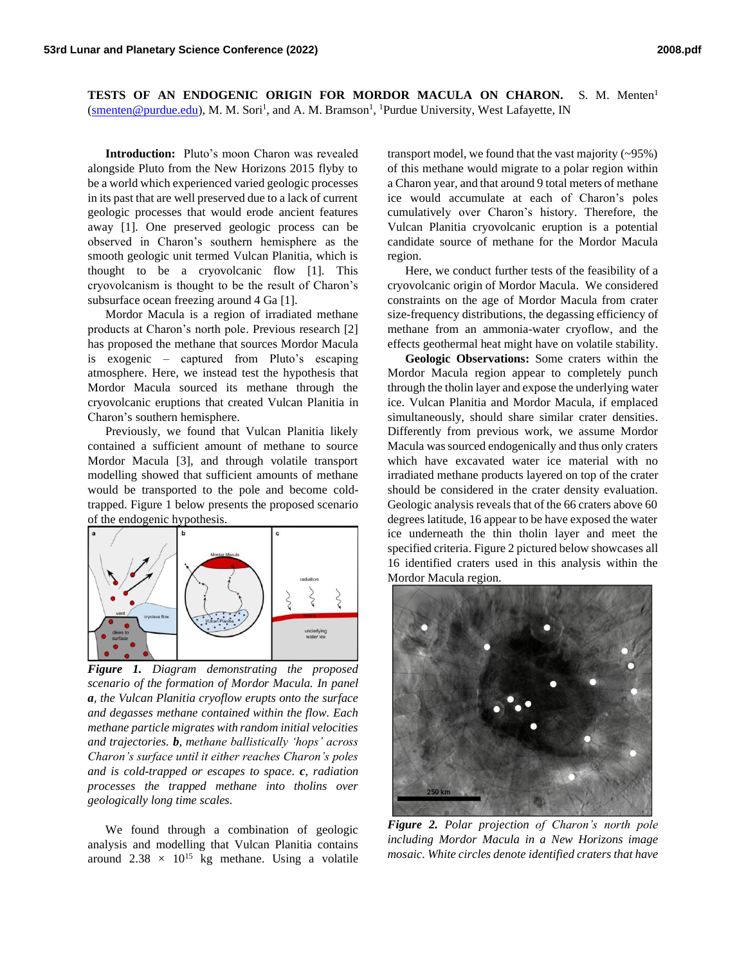**TESTS OF AN ENDOGENIC ORIGIN FOR MORDOR MACULA ON CHARON.** S. M. Menten<sup>1</sup> [\(smenten@purdue.edu\)](mailto:smenten@purdue.edu), M. M. Sori<sup>1</sup>, and A. M. Bramson<sup>1</sup>, <sup>1</sup>Purdue University, West Lafayette, IN

**Introduction:** Pluto's moon Charon was revealed alongside Pluto from the New Horizons 2015 flyby to be a world which experienced varied geologic processes in its past that are well preserved due to a lack of current geologic processes that would erode ancient features away [1]. One preserved geologic process can be observed in Charon's southern hemisphere as the smooth geologic unit termed Vulcan Planitia, which is thought to be a cryovolcanic flow [1]. This cryovolcanism is thought to be the result of Charon's subsurface ocean freezing around 4 Ga [1].

Mordor Macula is a region of irradiated methane products at Charon's north pole. Previous research [2] has proposed the methane that sources Mordor Macula is exogenic – captured from Pluto's escaping atmosphere. Here, we instead test the hypothesis that Mordor Macula sourced its methane through the cryovolcanic eruptions that created Vulcan Planitia in Charon's southern hemisphere.

Previously, we found that Vulcan Planitia likely contained a sufficient amount of methane to source Mordor Macula [3], and through volatile transport modelling showed that sufficient amounts of methane would be transported to the pole and become coldtrapped. Figure 1 below presents the proposed scenario of the endogenic hypothesis.



*Figure 1. Diagram demonstrating the proposed scenario of the formation of Mordor Macula. In panel a, the Vulcan Planitia cryoflow erupts onto the surface and degasses methane contained within the flow. Each methane particle migrates with random initial velocities and trajectories. b, methane ballistically 'hops' across Charon's surface until it either reaches Charon's poles and is cold-trapped or escapes to space. c, radiation processes the trapped methane into tholins over geologically long time scales.*

We found through a combination of geologic analysis and modelling that Vulcan Planitia contains around  $2.38 \times 10^{15}$  kg methane. Using a volatile

transport model, we found that the vast majority (~95%) of this methane would migrate to a polar region within a Charon year, and that around 9 total meters of methane ice would accumulate at each of Charon's poles cumulatively over Charon's history. Therefore, the Vulcan Planitia cryovolcanic eruption is a potential candidate source of methane for the Mordor Macula region.

Here, we conduct further tests of the feasibility of a cryovolcanic origin of Mordor Macula. We considered constraints on the age of Mordor Macula from crater size-frequency distributions, the degassing efficiency of methane from an ammonia-water cryoflow, and the effects geothermal heat might have on volatile stability.

**Geologic Observations:** Some craters within the Mordor Macula region appear to completely punch through the tholin layer and expose the underlying water ice. Vulcan Planitia and Mordor Macula, if emplaced simultaneously, should share similar crater densities. Differently from previous work, we assume Mordor Macula was sourced endogenically and thus only craters which have excavated water ice material with no irradiated methane products layered on top of the crater should be considered in the crater density evaluation. Geologic analysis reveals that of the 66 craters above 60 degrees latitude, 16 appear to be have exposed the water ice underneath the thin tholin layer and meet the specified criteria. Figure 2 pictured below showcases all 16 identified craters used in this analysis within the Mordor Macula region.



*Figure 2. Polar projection of Charon's north pole including Mordor Macula in a New Horizons image mosaic. White circles denote identified craters that have*